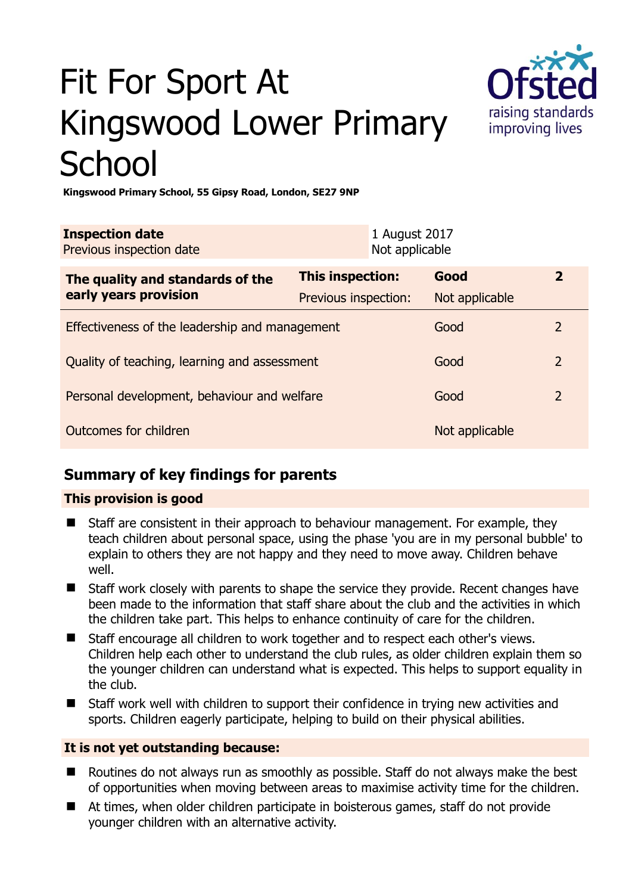# Fit For Sport At Kingswood Lower Primary **School**



**Kingswood Primary School, 55 Gipsy Road, London, SE27 9NP** 

| <b>Inspection date</b><br>Previous inspection date        |                      | 1 August 2017<br>Not applicable |                |                |
|-----------------------------------------------------------|----------------------|---------------------------------|----------------|----------------|
| The quality and standards of the<br>early years provision | This inspection:     |                                 | Good           | $\overline{2}$ |
|                                                           | Previous inspection: |                                 | Not applicable |                |
| Effectiveness of the leadership and management            |                      |                                 | Good           | $\overline{2}$ |
| Quality of teaching, learning and assessment              |                      |                                 | Good           | $\overline{2}$ |
| Personal development, behaviour and welfare               |                      |                                 | Good           | $\overline{2}$ |
| Outcomes for children                                     |                      |                                 | Not applicable |                |

# **Summary of key findings for parents**

## **This provision is good**

- Staff are consistent in their approach to behaviour management. For example, they teach children about personal space, using the phase 'you are in my personal bubble' to explain to others they are not happy and they need to move away. Children behave well.
- Staff work closely with parents to shape the service they provide. Recent changes have been made to the information that staff share about the club and the activities in which the children take part. This helps to enhance continuity of care for the children.
- Staff encourage all children to work together and to respect each other's views. Children help each other to understand the club rules, as older children explain them so the younger children can understand what is expected. This helps to support equality in the club.
- Staff work well with children to support their confidence in trying new activities and sports. Children eagerly participate, helping to build on their physical abilities.

## **It is not yet outstanding because:**

- Routines do not always run as smoothly as possible. Staff do not always make the best of opportunities when moving between areas to maximise activity time for the children.
- At times, when older children participate in boisterous games, staff do not provide younger children with an alternative activity.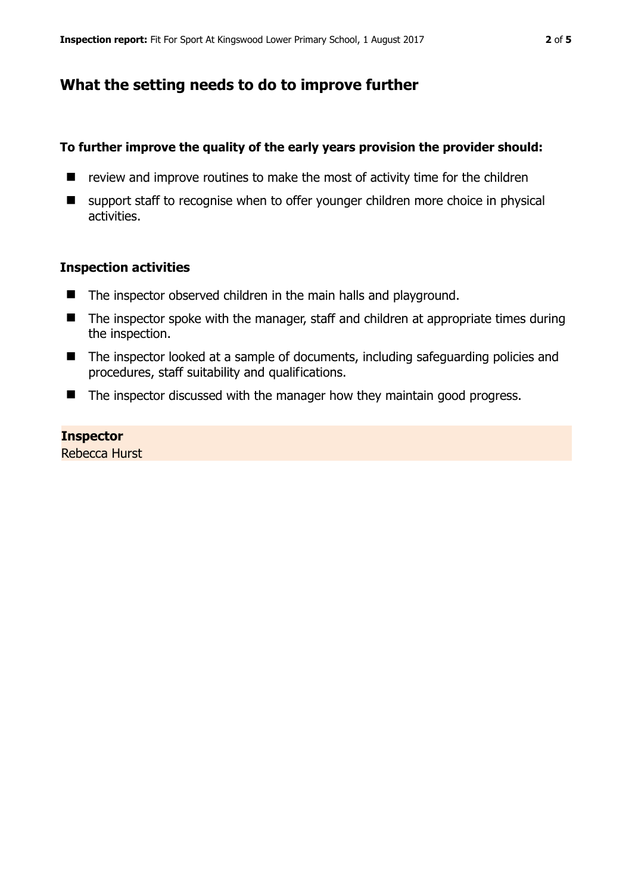## **What the setting needs to do to improve further**

## **To further improve the quality of the early years provision the provider should:**

- $\blacksquare$  review and improve routines to make the most of activity time for the children
- support staff to recognise when to offer younger children more choice in physical activities.

## **Inspection activities**

- The inspector observed children in the main halls and playground.
- $\blacksquare$  The inspector spoke with the manager, staff and children at appropriate times during the inspection.
- The inspector looked at a sample of documents, including safeguarding policies and procedures, staff suitability and qualifications.
- $\blacksquare$  The inspector discussed with the manager how they maintain good progress.

## **Inspector**

Rebecca Hurst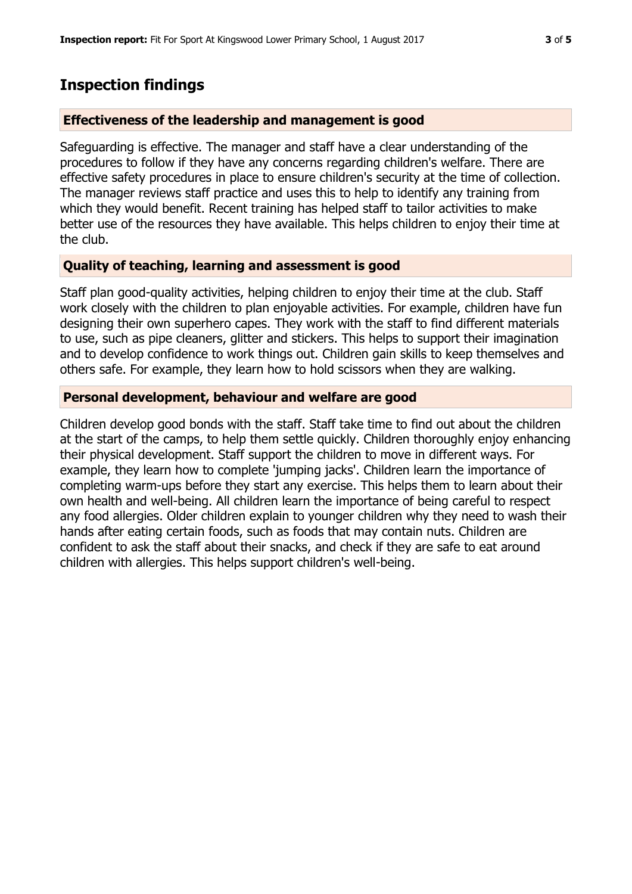## **Inspection findings**

#### **Effectiveness of the leadership and management is good**

Safeguarding is effective. The manager and staff have a clear understanding of the procedures to follow if they have any concerns regarding children's welfare. There are effective safety procedures in place to ensure children's security at the time of collection. The manager reviews staff practice and uses this to help to identify any training from which they would benefit. Recent training has helped staff to tailor activities to make better use of the resources they have available. This helps children to enjoy their time at the club.

## **Quality of teaching, learning and assessment is good**

Staff plan good-quality activities, helping children to enjoy their time at the club. Staff work closely with the children to plan enjoyable activities. For example, children have fun designing their own superhero capes. They work with the staff to find different materials to use, such as pipe cleaners, glitter and stickers. This helps to support their imagination and to develop confidence to work things out. Children gain skills to keep themselves and others safe. For example, they learn how to hold scissors when they are walking.

## **Personal development, behaviour and welfare are good**

Children develop good bonds with the staff. Staff take time to find out about the children at the start of the camps, to help them settle quickly. Children thoroughly enjoy enhancing their physical development. Staff support the children to move in different ways. For example, they learn how to complete 'jumping jacks'. Children learn the importance of completing warm-ups before they start any exercise. This helps them to learn about their own health and well-being. All children learn the importance of being careful to respect any food allergies. Older children explain to younger children why they need to wash their hands after eating certain foods, such as foods that may contain nuts. Children are confident to ask the staff about their snacks, and check if they are safe to eat around children with allergies. This helps support children's well-being.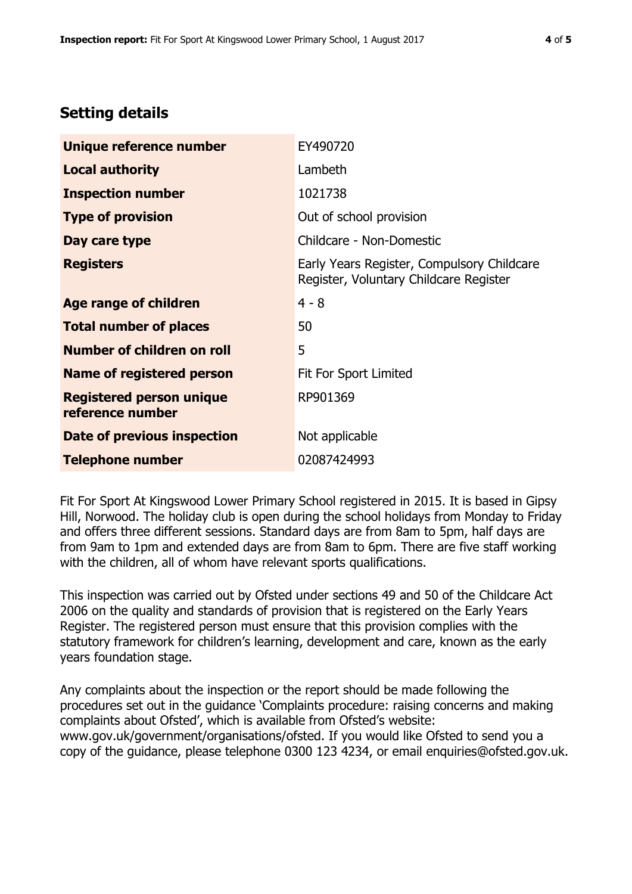# **Setting details**

| Unique reference number                             | EY490720                                                                             |  |
|-----------------------------------------------------|--------------------------------------------------------------------------------------|--|
| <b>Local authority</b>                              | Lambeth                                                                              |  |
| <b>Inspection number</b>                            | 1021738                                                                              |  |
| <b>Type of provision</b>                            | Out of school provision                                                              |  |
| Day care type                                       | Childcare - Non-Domestic                                                             |  |
| <b>Registers</b>                                    | Early Years Register, Compulsory Childcare<br>Register, Voluntary Childcare Register |  |
| Age range of children                               | $4 - 8$                                                                              |  |
| <b>Total number of places</b>                       | 50                                                                                   |  |
| Number of children on roll                          | 5                                                                                    |  |
| Name of registered person                           | Fit For Sport Limited                                                                |  |
| <b>Registered person unique</b><br>reference number | RP901369                                                                             |  |
| Date of previous inspection                         | Not applicable                                                                       |  |
| <b>Telephone number</b>                             | 02087424993                                                                          |  |

Fit For Sport At Kingswood Lower Primary School registered in 2015. It is based in Gipsy Hill, Norwood. The holiday club is open during the school holidays from Monday to Friday and offers three different sessions. Standard days are from 8am to 5pm, half days are from 9am to 1pm and extended days are from 8am to 6pm. There are five staff working with the children, all of whom have relevant sports qualifications.

This inspection was carried out by Ofsted under sections 49 and 50 of the Childcare Act 2006 on the quality and standards of provision that is registered on the Early Years Register. The registered person must ensure that this provision complies with the statutory framework for children's learning, development and care, known as the early years foundation stage.

Any complaints about the inspection or the report should be made following the procedures set out in the guidance 'Complaints procedure: raising concerns and making complaints about Ofsted', which is available from Ofsted's website: www.gov.uk/government/organisations/ofsted. If you would like Ofsted to send you a copy of the guidance, please telephone 0300 123 4234, or email enquiries@ofsted.gov.uk.